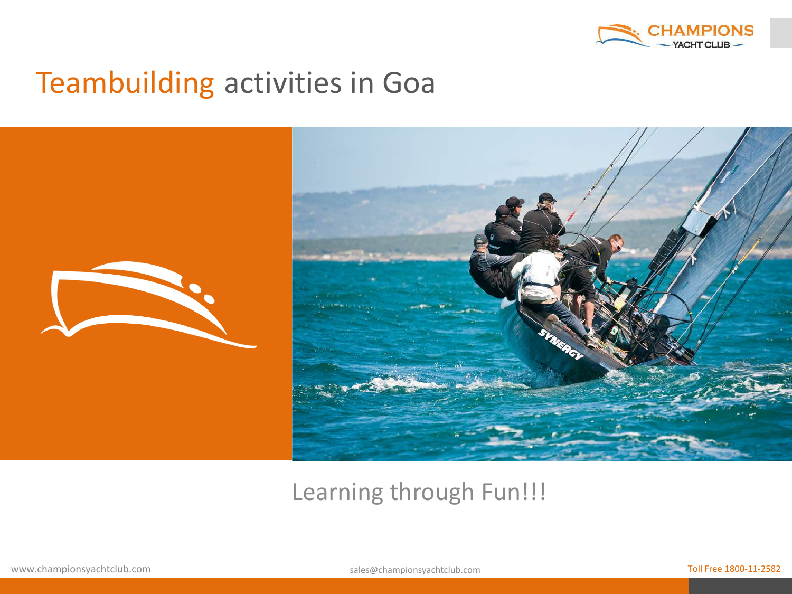



#### Learning through Fun!!!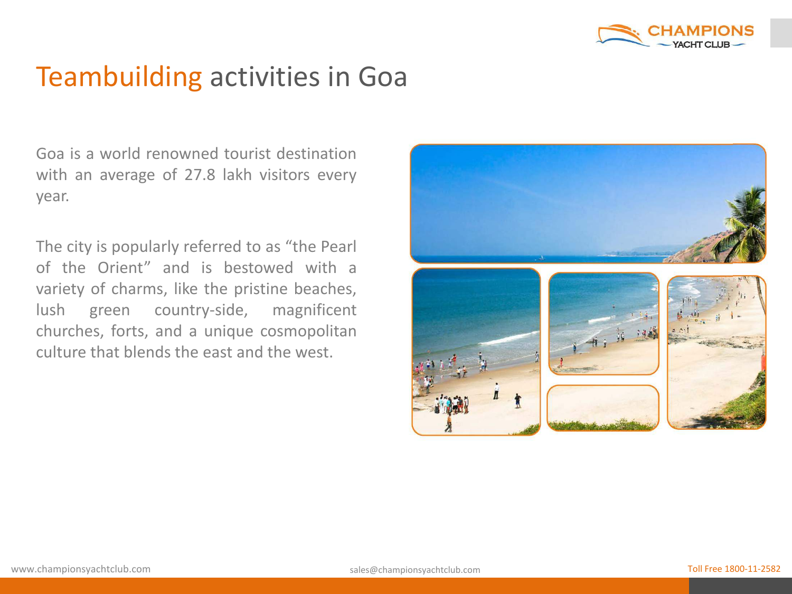

Goa is a world renowned tourist destination with an average of 27.8 lakh visitors every year.

The city is popularly referred to as "the Pearl of the Orient" and is bestowed with a variety of charms, like the pristine beaches, lush green country-side, magnificent churches, forts, and a unique cosmopolitan culture that blends the east and the west.

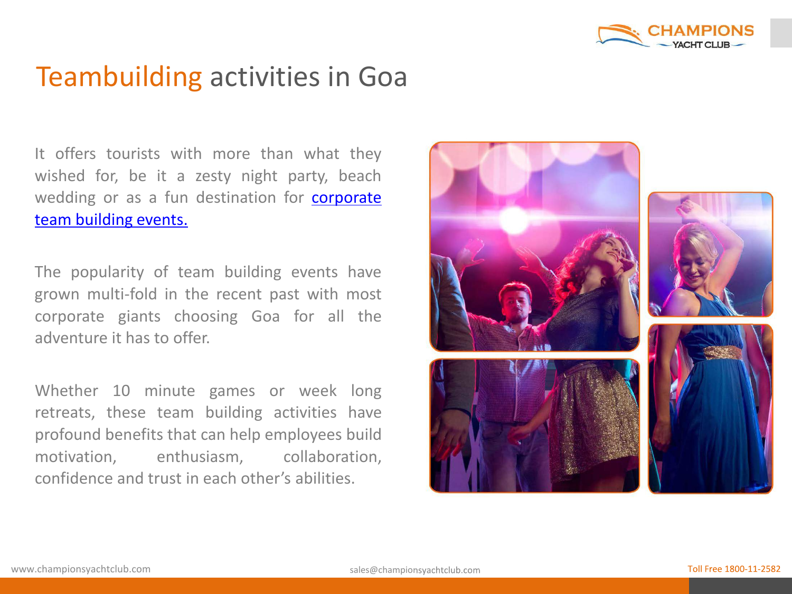

It offers tourists with more than what they wished for, be it a zesty night party, beach wedding or as a fun destination for **[corporate](http://www.championsyachtclub.com/)** team [building](http://www.championsyachtclub.com/) events.

The popularity of team building events have grown multi-fold in the recent past with most corporate giants choosing Goa for all the adventure it has to offer.

Whether 10 minute games or week long retreats, these team building activities have profound benefits that can help employees build motivation, enthusiasm, collaboration, confidence and trust in each other's abilities.

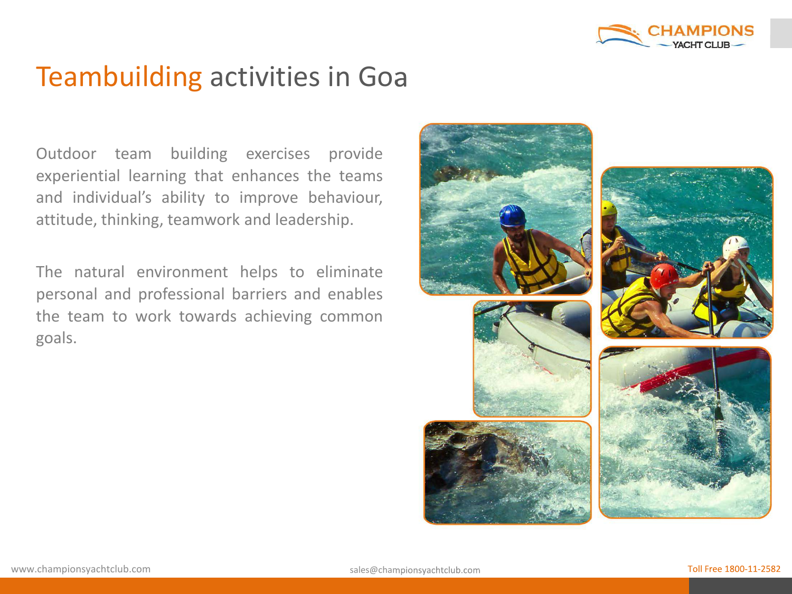

Outdoor team building exercises provide experiential learning that enhances the teams and individual's ability to improve behaviour, attitude, thinking, teamwork and leadership.

The natural environment helps to eliminate personal and professional barriers and enables the team to work towards achieving common goals.

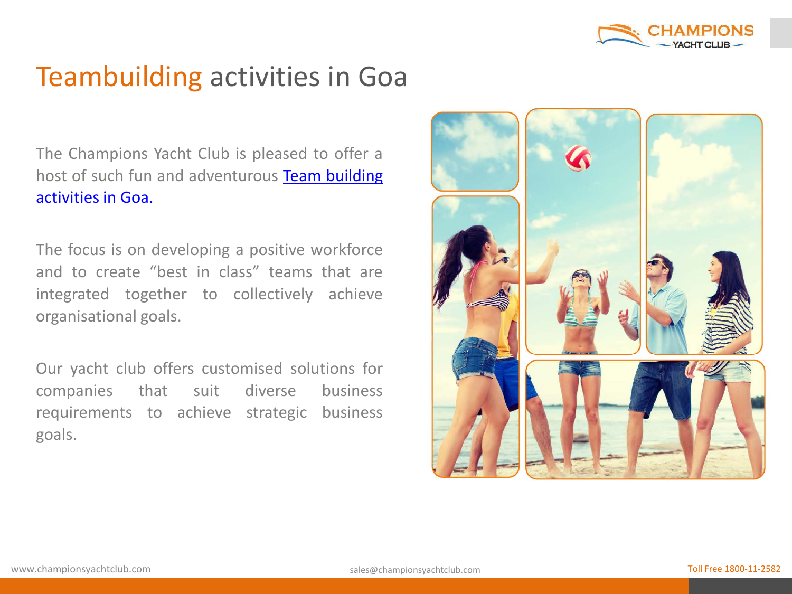

The Champions Yacht Club is pleased to offer a host of such fun and adventurous Team [building](http://www.championsyachtclub.com/team-building-programmes.php) [activities](http://www.championsyachtclub.com/team-building-programmes.php) in Goa.

The focus is on developing a positive workforce and to create "best in class" teams that are integrated together to collectively achieve organisational goals.

Our yacht club offers customised solutions for companies that suit diverse business requirements to achieve strategic business goals.

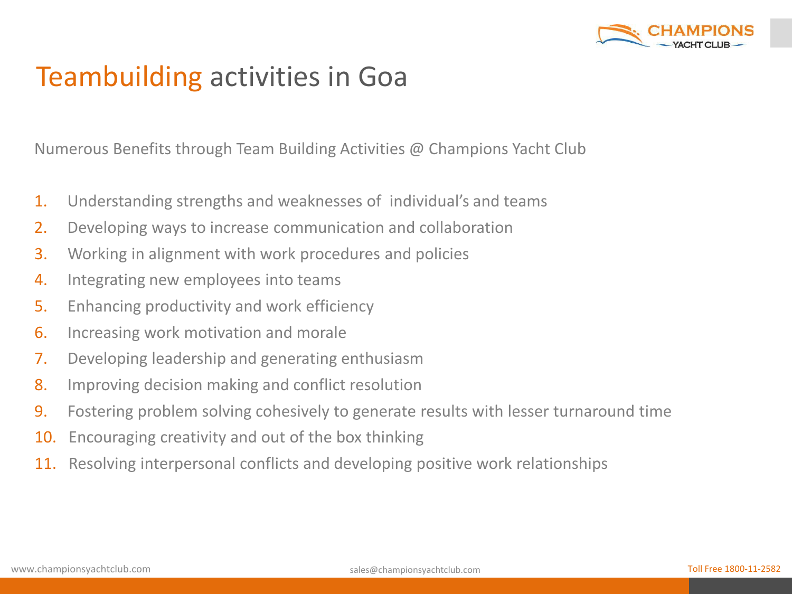

Numerous Benefits through Team Building Activities @ Champions Yacht Club

- 1. Understanding strengths and weaknesses of individual's and teams
- 2. Developing ways to increase communication and collaboration
- 3. Working in alignment with work procedures and policies
- 4. Integrating new employees into teams
- 5. Enhancing productivity and work efficiency
- 6. Increasing work motivation and morale
- 7. Developing leadership and generating enthusiasm
- 8. Improving decision making and conflict resolution
- 9. Fostering problem solving cohesively to generate results with lesser turnaround time
- 10. Encouraging creativity and out of the box thinking
- 11. Resolving interpersonal conflicts and developing positive work relationships